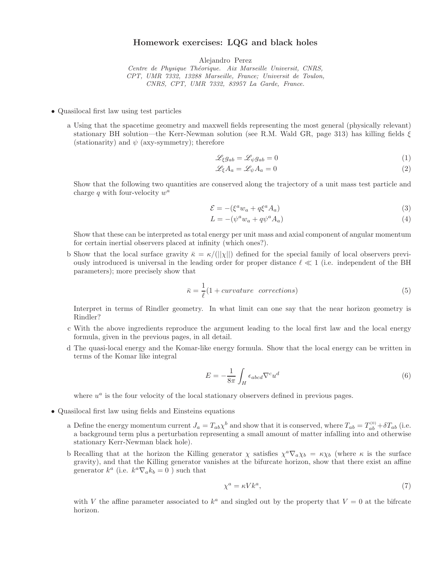## Homework exercises: LQG and black holes

Alejandro Perez

Centre de Physique Théorique. Aix Marseille Universit, CNRS, CPT, UMR 7332, 13288 Marseille, France; Universit de Toulon, CNRS, CPT, UMR 7332, 83957 La Garde, France.

- Quasilocal first law using test particles
	- a Using that the spacetime geometry and maxwell fields representing the most general (physically relevant) stationary BH solution—the Kerr-Newman solution (see R.M. Wald GR, page 313) has killing fields  $\xi$ (stationarity) and  $\psi$  (axy-symmetry); therefore

$$
\mathcal{L}_{\xi}g_{ab} = \mathcal{L}_{\psi}g_{ab} = 0\tag{1}
$$

$$
\mathcal{L}_{\xi} A_a = \mathcal{L}_{\psi} A_a = 0 \tag{2}
$$

Show that the following two quantities are conserved along the trajectory of a unit mass test particle and charge  $q$  with four-velocity  $w^a$ 

$$
\mathcal{E} = -(\xi^a w_a + q\xi^a A_a) \tag{3}
$$

$$
L = -(\psi^a w_a + q\psi^a A_a) \tag{4}
$$

Show that these can be interpreted as total energy per unit mass and axial component of angular momentum for certain inertial observers placed at infinity (which ones?).

b Show that the local surface gravity  $\bar{\kappa} = \kappa/(||\chi||)$  defined for the special family of local observers previously introduced is universal in the leading order for proper distance  $\ell \ll 1$  (i.e. independent of the BH parameters); more precisely show that

$$
\bar{\kappa} = \frac{1}{\ell} (1 + curvature \quad corrections)
$$
\n(5)

Interpret in terms of Rindler geometry. In what limit can one say that the near horizon geometry is Rindler?

- c With the above ingredients reproduce the argument leading to the local first law and the local energy formula, given in the previous pages, in all detail.
- d The quasi-local energy and the Komar-like energy formula. Show that the local energy can be written in terms of the Komar like integral

$$
E = -\frac{1}{8\pi} \int_{H} \epsilon_{abcd} \nabla^{c} u^{d}
$$
\n(6)

where  $u^a$  is the four velocity of the local stationary observers defined in previous pages.

- Quasilocal first law using fields and Einsteins equations
	- a Define the energy momentum current  $J_a = T_{ab} \chi^b$  and show that it is conserved, where  $T_{ab} = T_{ab}^{(0)} + \delta T_{ab}$  (i.e. a background term plus a perturbation representing a small amount of matter infalling into and otherwise stationary Kerr-Newman black hole).
	- b Recalling that at the horizon the Killing generator  $\chi$  satisfies  $\chi^a \nabla_a \chi_b = \kappa \chi_b$  (where  $\kappa$  is the surface gravity), and that the Killing generator vanishes at the bifurcate horizon, show that there exist an affine generator  $k^a$  (i.e.  $k^a \nabla_a k_b = 0$ ) such that

$$
\chi^a = \kappa V k^a,\tag{7}
$$

with V the affine parameter associated to  $k^a$  and singled out by the property that  $V = 0$  at the bifrcate horizon.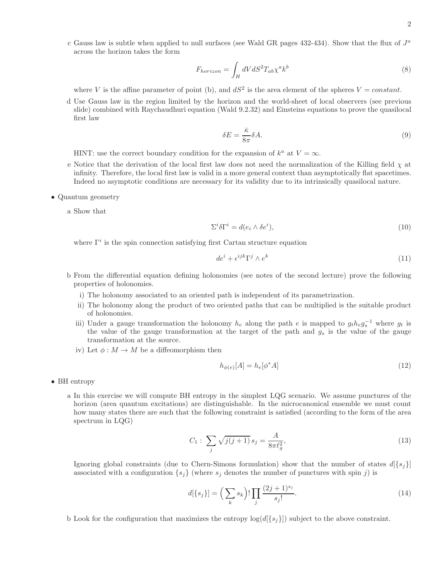c Gauss law is subtle when applied to null surfaces (see Wald GR pages 432-434). Show that the flux of  $J^a$ across the horizon takes the form

$$
F_{horizon} = \int_{H} dV dS^{2} T_{ab} \chi^{a} k^{b}
$$
\n(8)

where V is the affine parameter of point (b), and  $dS^2$  is the area element of the spheres  $V = constant$ .

d Use Gauss law in the region limited by the horizon and the world-sheet of local observers (see previous slide) combined with Raychaudhuri equation (Wald 9.2.32) and Einsteins equations to prove the quasilocal first law

$$
\delta E = \frac{\bar{\kappa}}{8\pi} \delta A. \tag{9}
$$

HINT: use the correct boundary condition for the expansion of  $k^a$  at  $V = \infty$ .

- e Notice that the derivation of the local first law does not need the normalization of the Killing field  $\chi$  at infinity. Therefore, the local first law is valid in a more general context than asymptotically flat spacetimes. Indeed no asymptotic conditions are necessary for its validity due to its intrinsically quasilocal nature.
- Quantum geometry

a Show that

$$
\Sigma^{i} \delta \Gamma^{i} = d(e_{i} \wedge \delta e^{i}), \qquad (10)
$$

where  $\Gamma^i$  is the spin connection satisfying first Cartan structure equation

$$
de^i + \epsilon^{ijk} \Gamma^j \wedge e^k \tag{11}
$$

- b From the differential equation defining holonomies (see notes of the second lecture) prove the following properties of holonomies.
	- i) The holonomy associated to an oriented path is independent of its parametrization.
	- ii) The holonomy along the product of two oriented paths that can be multiplied is the suitable product of holonomies.
	- iii) Under a gauge transformation the holonomy  $h_e$  along the path e is mapped to  $g_t h_e g_s^{-1}$  where  $g_t$  is the value of the gauge transformation at the target of the path and  $g_s$  is the value of the gauge transformation at the source.
	- iv) Let  $\phi: M \to M$  be a diffeomorphism then

$$
h_{\phi(e)}[A] = h_e[\phi^* A] \tag{12}
$$

- BH entropy
	- a In this exercise we will compute BH entropy in the simplest LQG scenario. We assume punctures of the horizon (area quantum excitations) are distinguishable. In the microcanonical ensemble we must count how many states there are such that the following constraint is satisfied (according to the form of the area spectrum in LQG)

$$
C_1: \sum_{j} \sqrt{j(j+1)} s_j = \frac{A}{8\pi \ell_g^2},\tag{13}
$$

Ignoring global constraints (due to Chern-Simons formulation) show that the number of states  $d[\{s_i\}]$ associated with a configuration  $\{s_i\}$  (where  $s_j$  denotes the number of punctures with spin j) is

$$
d[\{s_j\}] = \left(\sum_k s_k\right)! \prod_j \frac{(2j+1)^{s_j}}{s_j!}.\tag{14}
$$

b Look for the configuration that maximizes the entropy  $\log(d[\{s_i\}])$  subject to the above constraint.